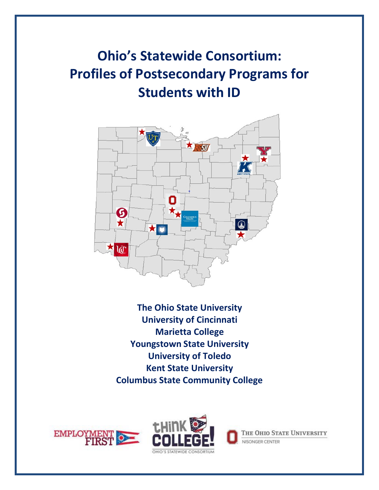# **Ohio's Statewide Consortium: Profiles of Postsecondary Programs for Students with ID**



**The Ohio State University University of Cincinnati Marietta College Youngstown State University University of Toledo Kent State University Columbus State Community College**





THE OHIO STATE UNIVERSITY NISONGER CENTER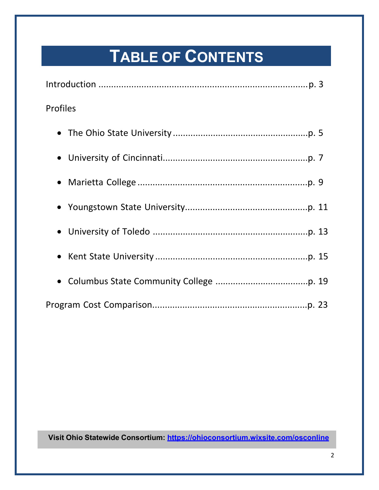# **TABLE OF CONTENTS**

| <b>Profiles</b> |
|-----------------|
|                 |
|                 |
|                 |
|                 |
|                 |
|                 |
|                 |
|                 |

**Visit Ohio Statewide Consortium: <https://ohioconsortium.wixsite.com/osconline>**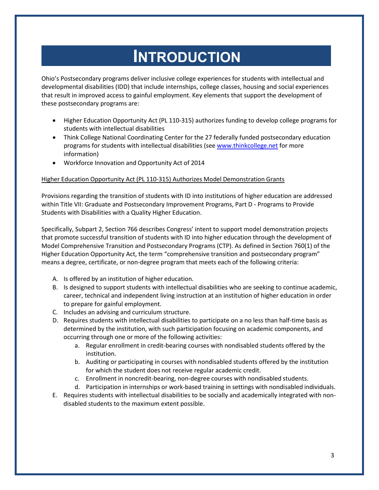## **INTRODUCTION**

Ohio's Postsecondary programs deliver inclusive college experiences for students with intellectual and developmental disabilities (IDD) that include internships, college classes, housing and social experiences that result in improved access to gainful employment. Key elements that support the development of these postsecondary programs are:

- Higher Education Opportunity Act (PL 110-315) authorizes funding to develop college programs for students with intellectual disabilities
- Think College National Coordinating Center for the 27 federally funded postsecondary education programs for students with intellectual disabilities (see [www.thinkcollege.net](http://www.thinkcollege.net/) for more information)
- Workforce Innovation and Opportunity Act of 2014

## Higher Education Opportunity Act (PL 110-315) Authorizes Model Demonstration Grants

Provisions regarding the transition of students with ID into institutions of higher education are addressed within Title VII: Graduate and Postsecondary Improvement Programs, Part D - Programs to Provide Students with Disabilities with a Quality Higher Education.

Specifically, Subpart 2, Section 766 describes Congress' intent to support model demonstration projects that promote successful transition of students with ID into higher education through the development of Model Comprehensive Transition and Postsecondary Programs (CTP). As defined in Section 760(1) of the Higher Education Opportunity Act, the term "comprehensive transition and postsecondary program" means a degree, certificate, or non-degree program that meets each of the following criteria:

- A. Is offered by an institution of higher education.
- B. Is designed to support students with intellectual disabilities who are seeking to continue academic, career, technical and independent living instruction at an institution of higher education in order to prepare for gainful employment.
- C. Includes an advising and curriculum structure.
- D. Requires students with intellectual disabilities to participate on a no less than half-time basis as determined by the institution, with such participation focusing on academic components, and occurring through one or more of the following activities:
	- a. Regular enrollment in credit-bearing courses with nondisabled students offered by the institution.
	- b. Auditing or participating in courses with nondisabled students offered by the institution for which the student does not receive regular academic credit.
	- c. Enrollment in noncredit-bearing, non-degree courses with nondisabled students.
	- d. Participation in internships or work-based training in settings with nondisabled individuals.
- E. Requires students with intellectual disabilities to be socially and academically integrated with nondisabled students to the maximum extent possible.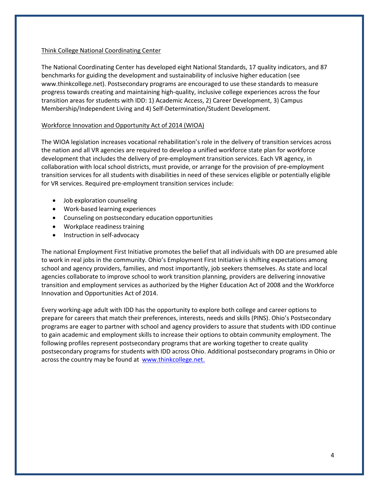## Think College National Coordinating Center

The National Coordinating Center has developed eight National Standards, 17 quality indicators, and 87 benchmarks for guiding the development and sustainability of inclusive higher education (see www.thinkcollege.net). Postsecondary programs are encouraged to use these standards to measure progress towards creating and maintaining high-quality, inclusive college experiences across the four transition areas for students with IDD: 1) Academic Access, 2) Career Development, 3) Campus Membership/Independent Living and 4) Self-Determination/Student Development.

## Workforce Innovation and Opportunity Act of 2014 (WIOA)

The WIOA legislation increases vocational rehabilitation's role in the delivery of transition services across the nation and all VR agencies are required to develop a unified workforce state plan for workforce development that includes the delivery of pre-employment transition services. Each VR agency, in collaboration with local school districts, must provide, or arrange for the provision of pre-employment transition services for all students with disabilities in need of these services eligible or potentially eligible for VR services. Required pre-employment transition services include:

- Job exploration counseling
- Work-based learning experiences
- Counseling on postsecondary education opportunities
- Workplace readiness training
- Instruction in self-advocacy

The national Employment First Initiative promotes the belief that all individuals with DD are presumed able to work in real jobs in the community. Ohio's Employment First Initiative is shifting expectations among school and agency providers, families, and most importantly, job seekers themselves. As state and local agencies collaborate to improve school to work transition planning, providers are delivering innovative transition and employment services as authorized by the Higher Education Act of 2008 and the Workforce Innovation and Opportunities Act of 2014.

Every working-age adult with IDD has the opportunity to explore both college and career options to prepare for careers that match their preferences, interests, needs and skills (PINS). Ohio's Postsecondary programs are eager to partner with school and agency providers to assure that students with IDD continue to gain academic and employment skills to increase their options to obtain community employment. The following profiles represent postsecondary programs that are working together to create quality postsecondary programs for students with IDD across Ohio. Additional postsecondary programs in Ohio or across the country may be found at [www.thinkcollege.net.](http://www.thinkcollege.net/)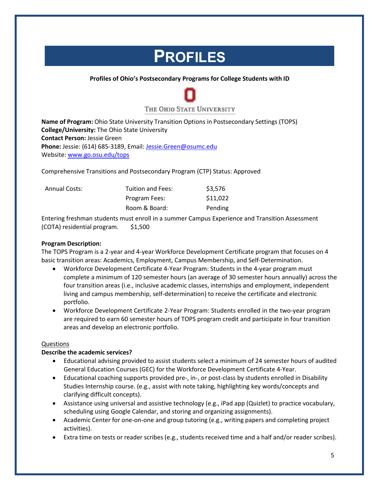## **PROFILES**

## **Profiles of Ohio's Postsecondary Programs for College Students with ID**



**Name of Program:** Ohio State University Transition Options in Postsecondary Settings (TOPS) **College/University:** The Ohio State University **Contact Person:** Jessie Green **Phone:** Jessie: (614) 685-3189, Email: [Jessie.Green@osumc.edu](mailto:Jessie.Green@osumc.edu) Website: [www.go.osu.edu/tops](http://www.go.osu.edu/tops)

Comprehensive Transitions and Postsecondary Program (CTP) Status: Approved

| <b>Annual Costs:</b> | Tuition and Fees: | \$3,576  |
|----------------------|-------------------|----------|
|                      | Program Fees:     | \$11,022 |
|                      | Room & Board:     | Pending  |

Entering freshman students must enroll in a summer Campus Experience and Transition Assessment (COTA) residential program. \$1,500

## **Program Description:**

The TOPS Program is a 2-year and 4-year Workforce Development Certificate program that focuses on 4 basic transition areas: Academics, Employment, Campus Membership, and Self-Determination.

- Workforce Development Certificate 4-Year Program: Students in the 4-year program must complete a minimum of 120 semester hours (an average of 30 semester hours annually) across the four transition areas (i.e., inclusive academic classes, internships and employment, independent living and campus membership, self-determination) to receive the certificate and electronic portfolio.
- Workforce Development Certificate 2-Year Program: Students enrolled in the two-year program are required to earn 60 semester hours of TOPS program credit and participate in four transition areas and develop an electronic portfolio.

## Questions

## **Describe the academic services?**

- Educational advising provided to assist students select a minimum of 24 semester hours of audited General Education Courses (GEC) for the Workforce Development Certificate 4-Year.
- Educational coaching supports provided pre-, in-, or post-class by students enrolled in Disability Studies Internship course. (e.g., assist with note taking, highlighting key words/concepts and clarifying difficult concepts).
- Assistance using universal and assistive technology (e.g., iPad app (Quizlet) to practice vocabulary, scheduling using Google Calendar, and storing and organizing assignments).
- Academic Center for one-on-one and group tutoring (e.g., writing papers and completing project activities).
- Extra time on tests or reader scribes (e.g., students received time and a half and/or reader scribes).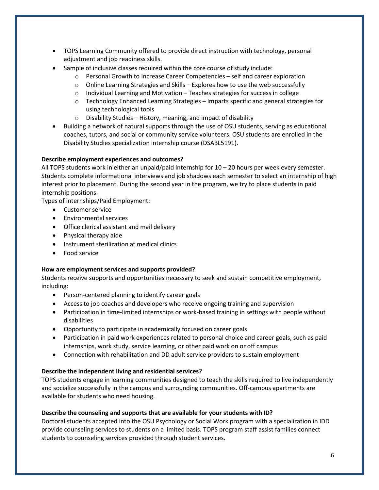- TOPS Learning Community offered to provide direct instruction with technology, personal adjustment and job readiness skills.
- Sample of inclusive classes required within the core course of study include:
	- o Personal Growth to Increase Career Competencies self and career exploration
	- o Online Learning Strategies and Skills Explores how to use the web successfully
	- o Individual Learning and Motivation Teaches strategies for success in college
	- o Technology Enhanced Learning Strategies Imparts specific and general strategies for using technological tools
	- $\circ$  Disability Studies History, meaning, and impact of disability
- Building a network of natural supports through the use of OSU students, serving as educational coaches, tutors, and social or community service volunteers. OSU students are enrolled in the Disability Studies specialization internship course (DSABL5191).

## **Describe employment experiences and outcomes?**

All TOPS students work in either an unpaid/paid internship for 10 – 20 hours per week every semester. Students complete informational interviews and job shadows each semester to select an internship of high interest prior to placement. During the second year in the program, we try to place students in paid internship positions.

Types of internships/Paid Employment:

- Customer service
- Environmental services
- Office clerical assistant and mail delivery
- Physical therapy aide
- Instrument sterilization at medical clinics
- Food service

## **How are employment services and supports provided?**

Students receive supports and opportunities necessary to seek and sustain competitive employment, including:

- Person-centered planning to identify career goals
- Access to job coaches and developers who receive ongoing training and supervision
- Participation in time-limited internships or work-based training in settings with people without disabilities
- Opportunity to participate in academically focused on career goals
- Participation in paid work experiences related to personal choice and career goals, such as paid internships, work study, service learning, or other paid work on or off campus
- Connection with rehabilitation and DD adult service providers to sustain employment

## **Describe the independent living and residential services?**

TOPS students engage in learning communities designed to teach the skills required to live independently and socialize successfully in the campus and surrounding communities. Off-campus apartments are available for students who need housing.

## **Describe the counseling and supports that are available for your students with ID?**

Doctoral students accepted into the OSU Psychology or Social Work program with a specialization in IDD provide counseling services to students on a limited basis. TOPS program staff assist families connect students to counseling services provided through student services.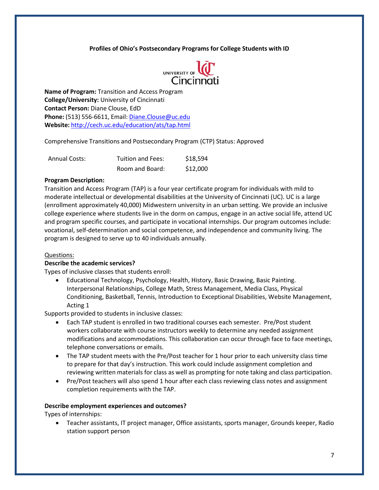

**Name of Program:** Transition and Access Program **College/University:** University of Cincinnati **Contact Person:** Diane Clouse, EdD **Phone:** (513) 556-6611, Email: [Diane.Clouse@uc.edu](mailto:Diane.Clouse@uc.edu) **Website:** <http://cech.uc.edu/education/ats/tap.html>

Comprehensive Transitions and Postsecondary Program (CTP) Status: Approved

| <b>Annual Costs:</b> | Tuition and Fees: | \$18,594 |
|----------------------|-------------------|----------|
|                      | Room and Board:   | \$12,000 |

## **Program Description:**

Transition and Access Program (TAP) is a four year certificate program for individuals with mild to moderate intellectual or developmental disabilities at the University of Cincinnati (UC). UC is a large (enrollment approximately 40,000) Midwestern university in an urban setting. We provide an inclusive college experience where students live in the dorm on campus, engage in an active social life, attend UC and program specific courses, and participate in vocational internships. Our program outcomes include: vocational, self-determination and social competence, and independence and community living. The program is designed to serve up to 40 individuals annually.

#### Questions:

#### **Describe the academic services?**

Types of inclusive classes that students enroll:

• Educational Technology, Psychology, Health, History, Basic Drawing, Basic Painting. Interpersonal Relationships, College Math, Stress Management, Media Class, Physical Conditioning, Basketball, Tennis, Introduction to Exceptional Disabilities, Website Management, Acting 1

Supports provided to students in inclusive classes:

- Each TAP student is enrolled in two traditional courses each semester. Pre/Post student workers collaborate with course instructors weekly to determine any needed assignment modifications and accommodations. This collaboration can occur through face to face meetings, telephone conversations or emails.
- The TAP student meets with the Pre/Post teacher for 1 hour prior to each university class time to prepare for that day's instruction. This work could include assignment completion and reviewing written materials for class as well as prompting for note taking and class participation.
- Pre/Post teachers will also spend 1 hour after each class reviewing class notes and assignment completion requirements with the TAP.

#### **Describe employment experiences and outcomes?**

Types of internships:

• Teacher assistants, IT project manager, Office assistants, sports manager, Grounds keeper, Radio station support person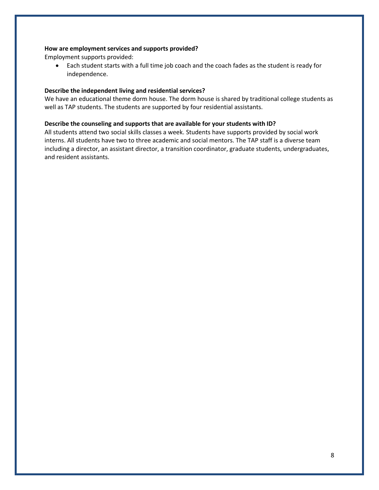#### **How are employment services and supports provided?**

Employment supports provided:

• Each student starts with a full time job coach and the coach fades as the student is ready for independence.

#### **Describe the independent living and residential services?**

We have an educational theme dorm house. The dorm house is shared by traditional college students as well as TAP students. The students are supported by four residential assistants.

#### **Describe the counseling and supports that are available for your students with ID?**

All students attend two social skills classes a week. Students have supports provided by social work interns. All students have two to three academic and social mentors. The TAP staff is a diverse team including a director, an assistant director, a transition coordinator, graduate students, undergraduates, and resident assistants.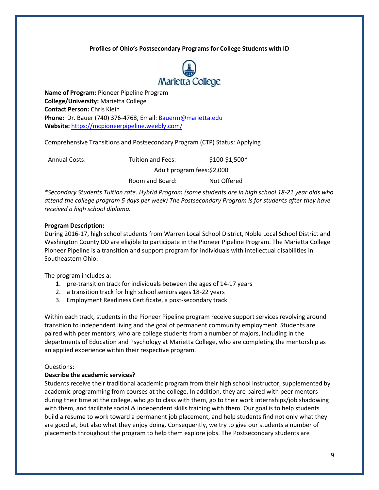

**Name of Program:** Pioneer Pipeline Program **College/University:** Marietta College **Contact Person:** Chris Klein **Phone:** Dr. Bauer (740) 376-4768, Email: [Bauerm@marietta.edu](mailto:Bauerm@marietta.edu) **Website:** <https://mcpioneerpipeline.weebly.com/>

Comprehensive Transitions and Postsecondary Program (CTP) Status: Applying

| <b>Annual Costs:</b> | Tuition and Fees: | $$100-$1,500*$              |  |
|----------------------|-------------------|-----------------------------|--|
|                      |                   | Adult program fees: \$2,000 |  |
|                      | Room and Board:   | Not Offered                 |  |

*\*Secondary Students Tuition rate. Hybrid Program (some students are in high school 18-21 year olds who attend the college program 5 days per week) The Postsecondary Program is for students after they have received a high school diploma.*

## **Program Description:**

During 2016-17, high school students from Warren Local School District, Noble Local School District and Washington County DD are eligible to participate in the Pioneer Pipeline Program. The Marietta College Pioneer Pipeline is a transition and support program for individuals with intellectual disabilities in Southeastern Ohio.

The program includes a:

- 1. pre-transition track for individuals between the ages of 14-17 years
- 2. a transition track for high school seniors ages 18-22 years
- 3. Employment Readiness Certificate, a post-secondary track

Within each track, students in the Pioneer Pipeline program receive support services revolving around transition to independent living and the goal of permanent community employment. Students are paired with peer mentors, who are college students from a number of majors, including in the departments of Education and Psychology at Marietta College, who are completing the mentorship as an applied experience within their respective program.

#### Questions:

#### **Describe the academic services?**

Students receive their traditional academic program from their high school instructor, supplemented by academic programming from courses at the college. In addition, they are paired with peer mentors during their time at the college, who go to class with them, go to their work internships/job shadowing with them, and facilitate social & independent skills training with them. Our goal is to help students build a resume to work toward a permanent job placement, and help students find not only what they are good at, but also what they enjoy doing. Consequently, we try to give our students a number of placements throughout the program to help them explore jobs. The Postsecondary students are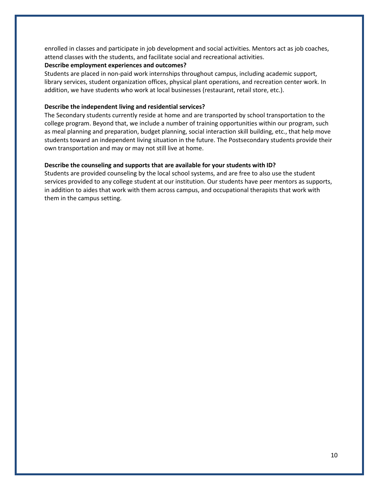enrolled in classes and participate in job development and social activities. Mentors act as job coaches, attend classes with the students, and facilitate social and recreational activities.

#### **Describe employment experiences and outcomes?**

Students are placed in non-paid work internships throughout campus, including academic support, library services, student organization offices, physical plant operations, and recreation center work. In addition, we have students who work at local businesses (restaurant, retail store, etc.).

#### **Describe the independent living and residential services?**

The Secondary students currently reside at home and are transported by school transportation to the college program. Beyond that, we include a number of training opportunities within our program, such as meal planning and preparation, budget planning, social interaction skill building, etc., that help move students toward an independent living situation in the future. The Postsecondary students provide their own transportation and may or may not still live at home.

#### **Describe the counseling and supports that are available for your students with ID?**

Students are provided counseling by the local school systems, and are free to also use the student services provided to any college student at our institution. Our students have peer mentors as supports, in addition to aides that work with them across campus, and occupational therapists that work with them in the campus setting.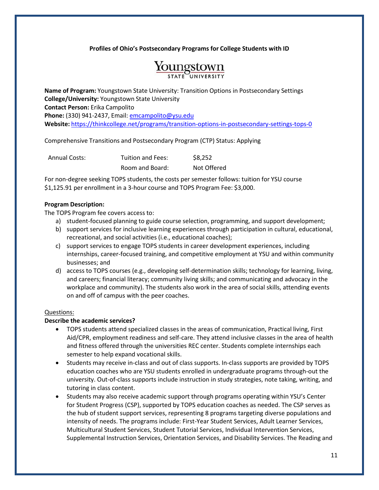

**Name of Program:** Youngstown State University: Transition Options in Postsecondary Settings **College/University:** Youngstown State University **Contact Person:** Erika Campolito **Phone:** (330) 941-2437, Email: [emcampolito@ysu.edu](mailto:emcampolito@ysu.edu) **Website:** <https://thinkcollege.net/programs/transition-options-in-postsecondary-settings-tops-0>

Comprehensive Transitions and Postsecondary Program (CTP) Status: Applying

| <b>Annual Costs:</b> | Tuition and Fees: | \$8,252     |  |
|----------------------|-------------------|-------------|--|
|                      | Room and Board:   | Not Offered |  |

For non-degree seeking TOPS students, the costs per semester follows: tuition for YSU course \$1,125.91 per enrollment in a 3-hour course and TOPS Program Fee: \$3,000.

## **Program Description:**

The TOPS Program fee covers access to:

- a) student-focused planning to guide course selection, programming, and support development;
- b) support services for inclusive learning experiences through participation in cultural, educational, recreational, and social activities (i.e., educational coaches);
- c) support services to engage TOPS students in career development experiences, including internships, career-focused training, and competitive employment at YSU and within community businesses; and
- d) access to TOPS courses (e.g., developing self-determination skills; technology for learning, living, and careers; financial literacy; community living skills; and communicating and advocacy in the workplace and community). The students also work in the area of social skills, attending events on and off of campus with the peer coaches.

## Questions:

## **Describe the academic services?**

- TOPS students attend specialized classes in the areas of communication, Practical living, First Aid/CPR, employment readiness and self-care. They attend inclusive classes in the area of health and fitness offered through the universities REC center. Students complete internships each semester to help expand vocational skills.
- Students may receive in-class and out of class supports. In-class supports are provided by TOPS education coaches who are YSU students enrolled in undergraduate programs through-out the university. Out-of-class supports include instruction in study strategies, note taking, writing, and tutoring in class content.
- Students may also receive academic support through programs operating within YSU's Center for Student Progress (CSP), supported by TOPS education coaches as needed. The CSP serves as the hub of student support services, representing 8 programs targeting diverse populations and intensity of needs. The programs include: First-Year Student Services, Adult Learner Services, Multicultural Student Services, Student Tutorial Services, Individual Intervention Services, Supplemental Instruction Services, Orientation Services, and Disability Services. The Reading and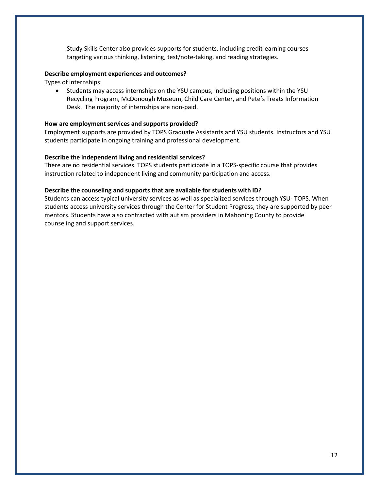Study Skills Center also provides supports for students, including credit-earning courses targeting various thinking, listening, test/note-taking, and reading strategies.

#### **Describe employment experiences and outcomes?**

Types of internships:

• Students may access internships on the YSU campus, including positions within the YSU Recycling Program, McDonough Museum, Child Care Center, and Pete's Treats Information Desk. The majority of internships are non-paid.

#### **How are employment services and supports provided?**

Employment supports are provided by TOPS Graduate Assistants and YSU students. Instructors and YSU students participate in ongoing training and professional development.

#### **Describe the independent living and residential services?**

There are no residential services. TOPS students participate in a TOPS-specific course that provides instruction related to independent living and community participation and access.

#### **Describe the counseling and supports that are available for students with ID?**

Students can access typical university services as well as specialized services through YSU- TOPS. When students access university services through the Center for Student Progress, they are supported by peer mentors. Students have also contracted with autism providers in Mahoning County to provide counseling and support services.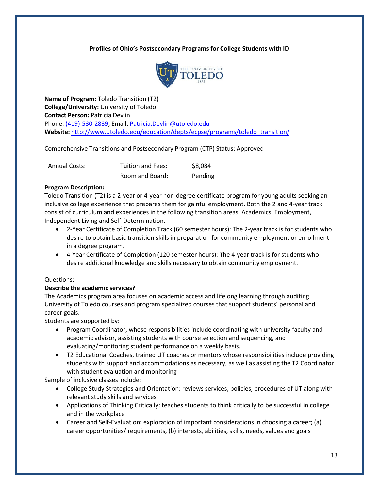

**Name of Program:** Toledo Transition (T2) **College/University:** University of Toledo **Contact Person:** Patricia Devlin Phone: [\(419\)-530-2839,](mailto:Patricia.Devlin@utoledo.edu) Email: [Patricia.Devlin@utoledo.edu](mailto:Patricia.Devlin@utoledo.edu) **Website:** [http://www.utoledo.edu/education/depts/ecpse/programs/toledo\\_transition/](http://www.utoledo.edu/education/depts/ecpse/programs/toledo_transition/)

Comprehensive Transitions and Postsecondary Program (CTP) Status: Approved

| <b>Annual Costs:</b> | Tuition and Fees: | \$8,084 |
|----------------------|-------------------|---------|
|                      | Room and Board:   | Pending |

## **Program Description:**

Toledo Transition (T2) is a 2-year or 4-year non-degree certificate program for young adults seeking an inclusive college experience that prepares them for gainful employment. Both the 2 and 4-year track consist of curriculum and experiences in the following transition areas: Academics, Employment, Independent Living and Self-Determination.

- 2-Year Certificate of Completion Track (60 semester hours): The 2-year track is for students who desire to obtain basic transition skills in preparation for community employment or enrollment in a degree program.
- 4-Year Certificate of Completion (120 semester hours): The 4-year track is for students who desire additional knowledge and skills necessary to obtain community employment.

## Questions:

## **Describe the academic services?**

The Academics program area focuses on academic access and lifelong learning through auditing University of Toledo courses and program specialized courses that support students' personal and career goals.

Students are supported by:

- Program Coordinator, whose responsibilities include coordinating with university faculty and academic advisor, assisting students with course selection and sequencing, and evaluating/monitoring student performance on a weekly basis.
- T2 Educational Coaches, trained UT coaches or mentors whose responsibilities include providing students with support and accommodations as necessary, as well as assisting the T2 Coordinator with student evaluation and monitoring

Sample of inclusive classes include:

- College Study Strategies and Orientation: reviews services, policies, procedures of UT along with relevant study skills and services
- Applications of Thinking Critically: teaches students to think critically to be successful in college and in the workplace
- Career and Self-Evaluation: exploration of important considerations in choosing a career; (a) career opportunities/ requirements, (b) interests, abilities, skills, needs, values and goals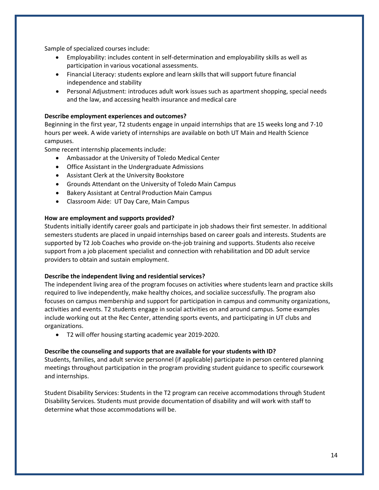Sample of specialized courses include:

- Employability: includes content in self-determination and employability skills as well as participation in various vocational assessments.
- Financial Literacy: students explore and learn skills that will support future financial independence and stability
- Personal Adjustment: introduces adult work issues such as apartment shopping, special needs and the law, and accessing health insurance and medical care

## **Describe employment experiences and outcomes?**

Beginning in the first year, T2 students engage in unpaid internships that are 15 weeks long and 7-10 hours per week. A wide variety of internships are available on both UT Main and Health Science campuses.

Some recent internship placements include:

- Ambassador at the University of Toledo Medical Center
- Office Assistant in the Undergraduate Admissions
- Assistant Clerk at the University Bookstore
- Grounds Attendant on the University of Toledo Main Campus
- Bakery Assistant at Central Production Main Campus
- Classroom Aide: UT Day Care, Main Campus

## **How are employment and supports provided?**

Students initially identify career goals and participate in job shadows their first semester. In additional semesters students are placed in unpaid internships based on career goals and interests. Students are supported by T2 Job Coaches who provide on-the-job training and supports. Students also receive support from a job placement specialist and connection with rehabilitation and DD adult service providers to obtain and sustain employment.

#### **Describe the independent living and residential services?**

The independent living area of the program focuses on activities where students learn and practice skills required to live independently, make healthy choices, and socialize successfully. The program also focuses on campus membership and support for participation in campus and community organizations, activities and events. T2 students engage in social activities on and around campus. Some examples include working out at the Rec Center, attending sports events, and participating in UT clubs and organizations.

• T2 will offer housing starting academic year 2019-2020.

## **Describe the counseling and supports that are available for your students with ID?**

Students, families, and adult service personnel (if applicable) participate in person centered planning meetings throughout participation in the program providing student guidance to specific coursework and internships.

Student Disability Services: Students in the T2 program can receive accommodations through Student Disability Services. Students must provide documentation of disability and will work with staff to determine what those accommodations will be.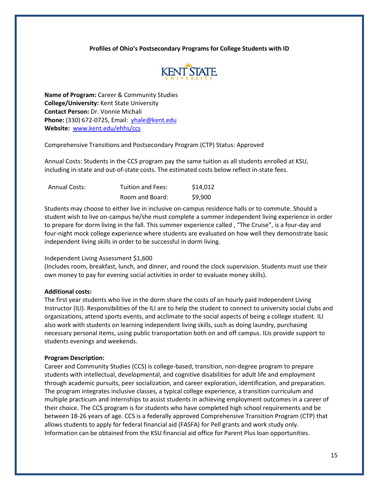

**Name of Program:** Career & Community Studies **College/University:** Kent State University **Contact Person:** Dr. Vonnie Michali **Phone:** (330) 672-0725, Email: [yhale@kent.edu](mailto:yhale@kent.edu) **Website:** [www.kent.edu/ehhs/ccs](http://www.kent.edu/ehhs/ccs)

Comprehensive Transitions and Postsecondary Program (CTP) Status: Approved

Annual Costs: Students in the CCS program pay the same tuition as all students enrolled at KSU, including in-state and out-of-state costs. The estimated costs below reflect in-state fees.

| <b>Annual Costs:</b> | Tuition and Fees: | \$14,012 |
|----------------------|-------------------|----------|
|                      | Room and Board:   | \$9,900  |

Students may choose to either live in inclusive on-campus residence halls or to commute. Should a student wish to live on-campus he/she must complete a summer independent living experience in order to prepare for dorm living in the fall. This summer experience called , "The Cruise", is a four-day and four-night mock college experience where students are evaluated on how well they demonstrate basic independent living skills in order to be successful in dorm living.

#### Independent Living Assessment \$1,600

(Includes room, breakfast, lunch, and dinner, and round the clock supervision. Students must use their own money to pay for evening social activities in order to evaluate money skills).

#### **Additional costs:**

The first year students who live in the dorm share the costs of an hourly paid Independent Living Instructor (ILI). Responsibilities of the ILI are to help the student to connect to university social clubs and organizations, attend sports events, and acclimate to the social aspects of being a college student. ILI also work with students on learning independent living skills, such as doing laundry, purchasing necessary personal items, using public transportation both on and off campus. ILIs provide support to students evenings and weekends.

#### **Program Description:**

Career and Community Studies (CCS) is college-based, transition, non-degree program to prepare students with intellectual, developmental, and cognitive disabilities for adult life and employment through academic pursuits, peer socialization, and career exploration, identification, and preparation. The program integrates inclusive classes, a typical college experience, a transition curriculum and multiple practicum and internships to assist students in achieving employment outcomes in a career of their choice. The CCS program is for students who have completed high school requirements and be between 18-26 years of age. CCS is a federally approved Comprehensive Transition Program (CTP) that allows students to apply for federal financial aid (FASFA) for Pell grants and work study only. Information can be obtained from the KSU financial aid office for Parent Plus loan opportunities.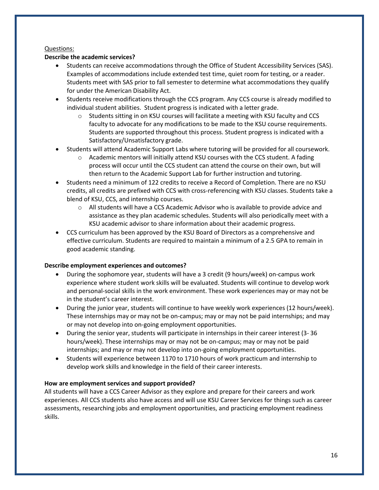## Questions:

## **Describe the academic services?**

- Students can receive accommodations through the Office of Student Accessibility Services (SAS). Examples of accommodations include extended test time, quiet room for testing, or a reader. Students meet with SAS prior to fall semester to determine what accommodations they qualify for under the American Disability Act.
- Students receive modifications through the CCS program. Any CCS course is already modified to individual student abilities. Student progress is indicated with a letter grade.
	- $\circ$  Students sitting in on KSU courses will facilitate a meeting with KSU faculty and CCS faculty to advocate for any modifications to be made to the KSU course requirements. Students are supported throughout this process. Student progress is indicated with a Satisfactory/Unsatisfactory grade.
- Students will attend Academic Support Labs where tutoring will be provided for all coursework.
	- $\circ$  Academic mentors will initially attend KSU courses with the CCS student. A fading process will occur until the CCS student can attend the course on their own, but will then return to the Academic Support Lab for further instruction and tutoring.
- Students need a minimum of 122 credits to receive a Record of Completion. There are no KSU credits, all credits are prefixed with CCS with cross-referencing with KSU classes. Students take a blend of KSU, CCS, and internship courses.
	- o All students will have a CCS Academic Advisor who is available to provide advice and assistance as they plan academic schedules. Students will also periodically meet with a KSU academic advisor to share information about their academic progress.
- CCS curriculum has been approved by the KSU Board of Directors as a comprehensive and effective curriculum. Students are required to maintain a minimum of a 2.5 GPA to remain in good academic standing.

## **Describe employment experiences and outcomes?**

- During the sophomore year, students will have a 3 credit (9 hours/week) on-campus work experience where student work skills will be evaluated. Students will continue to develop work and personal-social skills in the work environment. These work experiences may or may not be in the student's career interest.
- During the junior year, students will continue to have weekly work experiences (12 hours/week). These internships may or may not be on-campus; may or may not be paid internships; and may or may not develop into on-going employment opportunities.
- During the senior year, students will participate in internships in their career interest (3- 36 hours/week). These internships may or may not be on-campus; may or may not be paid internships; and may or may not develop into on-going employment opportunities.
- Students will experience between 1170 to 1710 hours of work practicum and internship to develop work skills and knowledge in the field of their career interests.

## **How are employment services and support provided?**

All students will have a CCS Career Advisor as they explore and prepare for their careers and work experiences. All CCS students also have access and will use KSU Career Services for things such as career assessments, researching jobs and employment opportunities, and practicing employment readiness skills.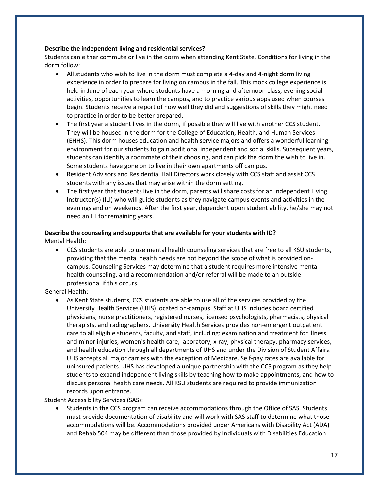## **Describe the independent living and residential services?**

Students can either commute or live in the dorm when attending Kent State. Conditions for living in the dorm follow:

- All students who wish to live in the dorm must complete a 4-day and 4-night dorm living experience in order to prepare for living on campus in the fall. This mock college experience is held in June of each year where students have a morning and afternoon class, evening social activities, opportunities to learn the campus, and to practice various apps used when courses begin. Students receive a report of how well they did and suggestions of skills they might need to practice in order to be better prepared.
- The first year a student lives in the dorm, if possible they will live with another CCS student. They will be housed in the dorm for the College of Education, Health, and Human Services (EHHS). This dorm houses education and health service majors and offers a wonderful learning environment for our students to gain additional independent and social skills. Subsequent years, students can identify a roommate of their choosing, and can pick the dorm the wish to live in. Some students have gone on to live in their own apartments off campus.
- Resident Advisors and Residential Hall Directors work closely with CCS staff and assist CCS students with any issues that may arise within the dorm setting.
- The first year that students live in the dorm, parents will share costs for an Independent Living Instructor(s) (ILI) who will guide students as they navigate campus events and activities in the evenings and on weekends. After the first year, dependent upon student ability, he/she may not need an ILI for remaining years.

## **Describe the counseling and supports that are available for your students with ID?**

Mental Health:

• CCS students are able to use mental health counseling services that are free to all KSU students, providing that the mental health needs are not beyond the scope of what is provided oncampus. Counseling Services may determine that a student requires more intensive mental health counseling, and a recommendation and/or referral will be made to an outside professional if this occurs.

General Health:

• As Kent State students, CCS students are able to use all of the services provided by the University Health Services (UHS) located on-campus. Staff at UHS includes board certified physicians, nurse practitioners, registered nurses, licensed psychologists, pharmacists, physical therapists, and radiographers. University Health Services provides non-emergent outpatient care to all eligible students, faculty, and staff, including: examination and treatment for illness and minor injuries, women's health care, laboratory, x-ray, physical therapy, pharmacy services, and health education through all departments of UHS and under the Division of Student Affairs. UHS accepts all major carriers with the exception of Medicare. Self-pay rates are available for uninsured patients. UHS has developed a unique partnership with the CCS program as they help students to expand independent living skills by teaching how to make appointments, and how to discuss personal health care needs. All KSU students are required to provide immunization records upon entrance.

Student Accessibility Services (SAS):

• Students in the CCS program can receive accommodations through the Office of SAS. Students must provide documentation of disability and will work with SAS staff to determine what those accommodations will be. Accommodations provided under Americans with Disability Act (ADA) and Rehab 504 may be different than those provided by Individuals with Disabilities Education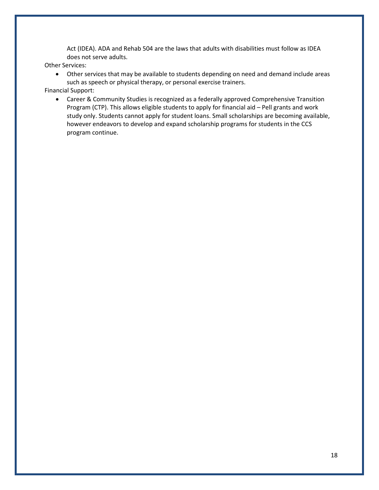Act (IDEA). ADA and Rehab 504 are the laws that adults with disabilities must follow as IDEA does not serve adults.

Other Services:

• Other services that may be available to students depending on need and demand include areas such as speech or physical therapy, or personal exercise trainers.

Financial Support:

• Career & Community Studies is recognized as a federally approved Comprehensive Transition Program (CTP). This allows eligible students to apply for financial aid – Pell grants and work study only. Students cannot apply for student loans. Small scholarships are becoming available, however endeavors to develop and expand scholarship programs for students in the CCS program continue.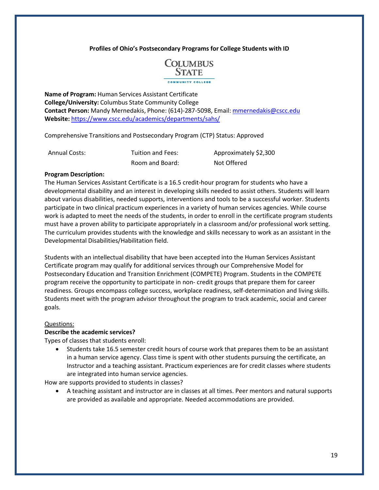

**Name of Program:** Human Services Assistant Certificate **College/University:** Columbus State Community College **Contact Person:** Mandy Mernedakis, Phone: (614)-287-5098, Email: [mmernedakis@cscc.edu](mailto:mmernedakis@cscc.edu) **Website:** <https://www.cscc.edu/academics/departments/sahs/>

Comprehensive Transitions and Postsecondary Program (CTP) Status: Approved

| <b>Annual Costs:</b> | Tuition and Fees: | Approximately \$2,300 |
|----------------------|-------------------|-----------------------|
|                      | Room and Board:   | Not Offered           |

#### **Program Description:**

The Human Services Assistant Certificate is a 16.5 credit-hour program for students who have a developmental disability and an interest in developing skills needed to assist others. Students will learn about various disabilities, needed supports, interventions and tools to be a successful worker. Students participate in two clinical practicum experiences in a variety of human services agencies. While course work is adapted to meet the needs of the students, in order to enroll in the certificate program students must have a proven ability to participate appropriately in a classroom and/or professional work setting. The curriculum provides students with the knowledge and skills necessary to work as an assistant in the Developmental Disabilities/Habilitation field.

Students with an intellectual disability that have been accepted into the Human Services Assistant Certificate program may qualify for additional services through our Comprehensive Model for Postsecondary Education and Transition Enrichment (COMPETE) Program. Students in the COMPETE program receive the opportunity to participate in non- credit groups that prepare them for career readiness. Groups encompass college success, workplace readiness, self-determination and living skills. Students meet with the program advisor throughout the program to track academic, social and career goals.

#### Questions:

#### **Describe the academic services?**

Types of classes that students enroll:

• Students take 16.5 semester credit hours of course work that prepares them to be an assistant in a human service agency. Class time is spent with other students pursuing the certificate, an Instructor and a teaching assistant. Practicum experiences are for credit classes where students are integrated into human service agencies.

How are supports provided to students in classes?

• A teaching assistant and instructor are in classes at all times. Peer mentors and natural supports are provided as available and appropriate. Needed accommodations are provided.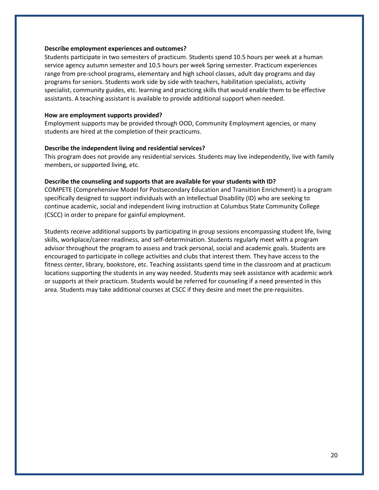#### **Describe employment experiences and outcomes?**

Students participate in two semesters of practicum. Students spend 10.5 hours per week at a human service agency autumn semester and 10.5 hours per week Spring semester. Practicum experiences range from pre-school programs, elementary and high school classes, adult day programs and day programs for seniors. Students work side by side with teachers, habilitation specialists, activity specialist, community guides, etc. learning and practicing skills that would enable them to be effective assistants. A teaching assistant is available to provide additional support when needed.

#### **How are employment supports provided?**

Employment supports may be provided through OOD, Community Employment agencies, or many students are hired at the completion of their practicums.

#### **Describe the independent living and residential services?**

This program does not provide any residential services. Students may live independently, live with family members, or supported living, etc.

## **Describe the counseling and supports that are available for your students with ID?**

COMPETE (Comprehensive Model for Postsecondary Education and Transition Enrichment) is a program specifically designed to support individuals with an Intellectual Disability (ID) who are seeking to continue academic, social and independent living instruction at Columbus State Community College (CSCC) in order to prepare for gainful employment.

Students receive additional supports by participating in group sessions encompassing student life, living skills, workplace/career readiness, and self-determination. Students regularly meet with a program advisor throughout the program to assess and track personal, social and academic goals. Students are encouraged to participate in college activities and clubs that interest them. They have access to the fitness center, library, bookstore, etc. Teaching assistants spend time in the classroom and at practicum locations supporting the students in any way needed. Students may seek assistance with academic work or supports at their practicum. Students would be referred for counseling if a need presented in this area. Students may take additional courses at CSCC if they desire and meet the pre-requisites.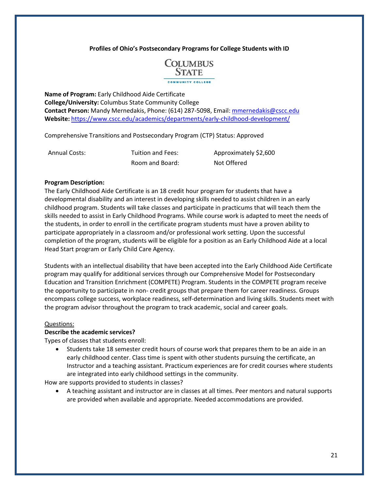

**Name of Program:** Early Childhood Aide Certificate **College/University:** Columbus State Community College **Contact Person:** Mandy Mernedakis, Phone: (614) 287-5098, Email: [mmernedakis@cscc.edu](mailto:mmernedakis@cscc.edu) **Website:** <https://www.cscc.edu/academics/departments/early-childhood-development/>

Comprehensive Transitions and Postsecondary Program (CTP) Status: Approved

Annual Costs: Tuition and Fees: Approximately \$2,600 Room and Board: Not Offered

#### **Program Description:**

The Early Childhood Aide Certificate is an 18 credit hour program for students that have a developmental disability and an interest in developing skills needed to assist children in an early childhood program. Students will take classes and participate in practicums that will teach them the skills needed to assist in Early Childhood Programs. While course work is adapted to meet the needs of the students, in order to enroll in the certificate program students must have a proven ability to participate appropriately in a classroom and/or professional work setting. Upon the successful completion of the program, students will be eligible for a position as an Early Childhood Aide at a local Head Start program or Early Child Care Agency.

Students with an intellectual disability that have been accepted into the Early Childhood Aide Certificate program may qualify for additional services through our Comprehensive Model for Postsecondary Education and Transition Enrichment (COMPETE) Program. Students in the COMPETE program receive the opportunity to participate in non- credit groups that prepare them for career readiness. Groups encompass college success, workplace readiness, self-determination and living skills. Students meet with the program advisor throughout the program to track academic, social and career goals.

#### Questions:

#### **Describe the academic services?**

Types of classes that students enroll:

• Students take 18 semester credit hours of course work that prepares them to be an aide in an early childhood center. Class time is spent with other students pursuing the certificate, an Instructor and a teaching assistant. Practicum experiences are for credit courses where students are integrated into early childhood settings in the community.

How are supports provided to students in classes?

• A teaching assistant and instructor are in classes at all times. Peer mentors and natural supports are provided when available and appropriate. Needed accommodations are provided.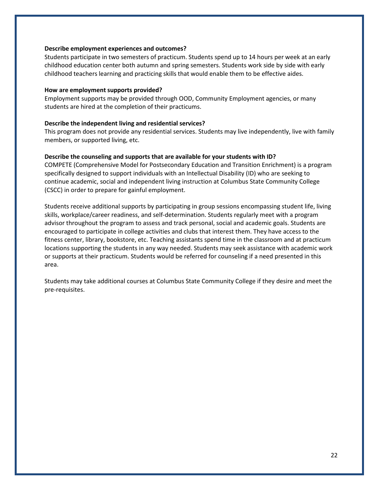#### **Describe employment experiences and outcomes?**

Students participate in two semesters of practicum. Students spend up to 14 hours per week at an early childhood education center both autumn and spring semesters. Students work side by side with early childhood teachers learning and practicing skills that would enable them to be effective aides.

#### **How are employment supports provided?**

Employment supports may be provided through OOD, Community Employment agencies, or many students are hired at the completion of their practicums.

#### **Describe the independent living and residential services?**

This program does not provide any residential services. Students may live independently, live with family members, or supported living, etc.

#### **Describe the counseling and supports that are available for your students with ID?**

COMPETE (Comprehensive Model for Postsecondary Education and Transition Enrichment) is a program specifically designed to support individuals with an Intellectual Disability (ID) who are seeking to continue academic, social and independent living instruction at Columbus State Community College (CSCC) in order to prepare for gainful employment.

Students receive additional supports by participating in group sessions encompassing student life, living skills, workplace/career readiness, and self-determination. Students regularly meet with a program advisor throughout the program to assess and track personal, social and academic goals. Students are encouraged to participate in college activities and clubs that interest them. They have access to the fitness center, library, bookstore, etc. Teaching assistants spend time in the classroom and at practicum locations supporting the students in any way needed. Students may seek assistance with academic work or supports at their practicum. Students would be referred for counseling if a need presented in this area.

Students may take additional courses at Columbus State Community College if they desire and meet the pre-requisites.